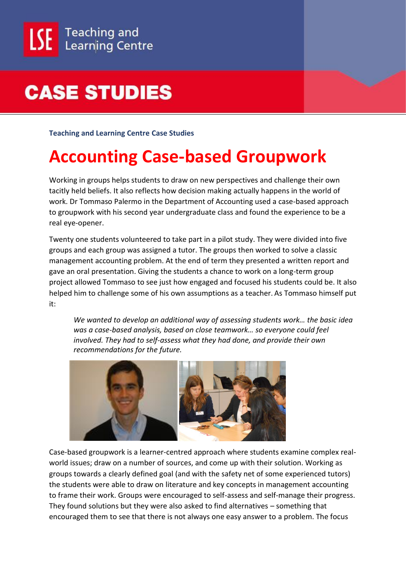## **CASE STUDIES**

**Teaching and Learning Centre Case Studies**

## **Accounting Case-based Groupwork**

Working in groups helps students to draw on new perspectives and challenge their own tacitly held beliefs. It also reflects how decision making actually happens in the world of work. Dr Tommaso Palermo in the Department of Accounting used a case-based approach to groupwork with his second year undergraduate class and found the experience to be a real eye-opener.

Twenty one students volunteered to take part in a pilot study. They were divided into five groups and each group was assigned a tutor. The groups then worked to solve a classic management accounting problem. At the end of term they presented a written report and gave an oral presentation. Giving the students a chance to work on a long-term group project allowed Tommaso to see just how engaged and focused his students could be. It also helped him to challenge some of his own assumptions as a teacher. As Tommaso himself put it:

*We wanted to develop an additional way of assessing students work… the basic idea was a case-based analysis, based on close teamwork… so everyone could feel involved. They had to self-assess what they had done, and provide their own recommendations for the future.*



Case-based groupwork is a learner-centred approach where students examine complex realworld issues; draw on a number of sources, and come up with their solution. Working as groups towards a clearly defined goal (and with the safety net of some experienced tutors) the students were able to draw on literature and key concepts in management accounting to frame their work. Groups were encouraged to self-assess and self-manage their progress. They found solutions but they were also asked to find alternatives – something that encouraged them to see that there is not always one easy answer to a problem. The focus